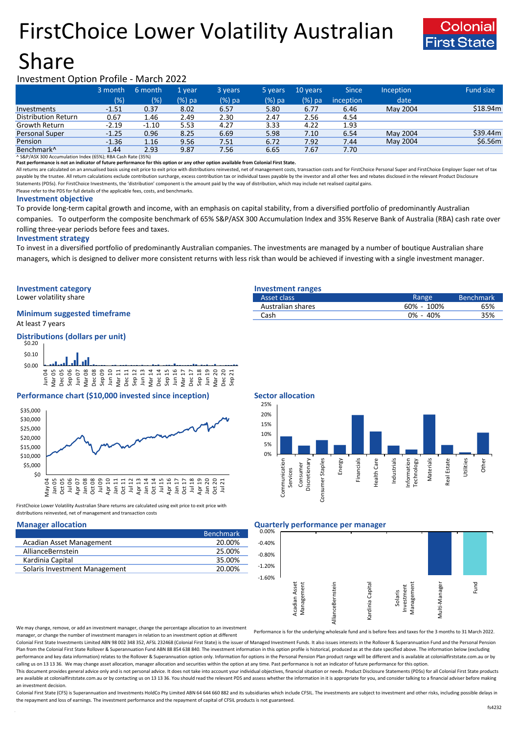# FirstChoice Lower Volatility Australian



# Share

# Investment Option Profile - March 2022

|                        | 3 month | 6 month | 1 vear   | 3 years | 5 years | 10 years | <b>Since</b> | Inception | <b>Fund size</b> |
|------------------------|---------|---------|----------|---------|---------|----------|--------------|-----------|------------------|
|                        | (% )    | (%)     | $(%)$ pa | (%) pa  | (%) pa  | $(%)$ pa | inception    | date      |                  |
| Investments            | $-1.51$ | 0.37    | 8.02     | 6.57    | 5.80    | 6.77     | 6.46         | May 2004  | \$18.94m         |
| Distribution Return    | 0.67    | 1.46    | 2.49     | 2.30    | 2.47    | 2.56     | 4.54         |           |                  |
| Growth Return          | $-2.19$ | $-1.10$ | 5.53     | 4.27    | 3.33    | 4.22     | 1.93         |           |                  |
| <b>Personal Super</b>  | $-1.25$ | 0.96    | 8.25     | 6.69    | 5.98    | 7.10     | 6.54         | May 2004  | \$39.44m         |
| Pension                | $-1.36$ | 1.16    | 9.56     | 7.51    | 6.72    | 7.92     | 7.44         | May 2004  | \$6.56m          |
| Benchmark <sup>^</sup> | 1.44    | 2.93    | 9.87     | 7.56    | 6.65    | 7.67     | 7.70         |           |                  |

^ S&P/ASX 300 Accumulation Index (65%); RBA Cash Rate (35%)

**Past performance is not an indicator of future performance for this option or any other option available from Colonial First State.**

All returns are calculated on an annualised basis using exit price to exit price with distributions reinvested, net of management costs, transaction costs and for FirstChoice Personal Super and FirstChoice Employer Super n payable by the trustee. All return calculations exclude contribution surcharge, excess contribution tax or individual taxes payable by the investor and all other fees and rebates disclosed in the relevant Product Disclosur Statements (PDSs). For FirstChoice Investments, the 'distribution' component is the amount paid by the way of distribution, which may include net realised capital gains.

Please refer to the PDS for full details of the applicable fees, costs, and benchmarks.

### **Investment objective**

To provide long-term capital growth and income, with an emphasis on capital stability, from a diversified portfolio of predominantly Australian companies. To outperform the composite benchmark of 65% S&P/ASX 300 Accumulation Index and 35% Reserve Bank of Australia (RBA) cash rate over rolling three-year periods before fees and taxes.

### **Investment strategy**

To invest in a diversified portfolio of predominantly Australian companies. The investments are managed by a number of boutique Australian share managers, which is designed to deliver more consistent returns with less risk than would be achieved if investing with a single investment manager.

# **Investment category Investment ranges**

Lower volatility share

# **Minimum suggested timeframe**

At least 7 years

### **Distributions (dollars per unit)**



## **Performance chart (\$10,000 invested since inception)** Sector allocation



FirstChoice Lower Volatility Australian Share returns are calculated using exit price to exit price with distributions reinvested, net of management and transaction costs

|                               | <b>Benchmark</b> |
|-------------------------------|------------------|
| Acadian Asset Management      | 20.00%           |
| AllianceBernstein             | 25.00%           |
| Kardinia Capital              | 35.00%           |
| Solaris Investment Management | 20.00%           |
|                               |                  |

| ---- <del>--</del> -------------- |                |                  |
|-----------------------------------|----------------|------------------|
| Asset class                       | Range          | <b>Benchmark</b> |
| Australian shares                 | $60\% - 100\%$ | 65%              |
| Cash                              | $0\% - 40\%$   | 35%              |
|                                   |                |                  |



### **Manager allocation Quarterly performance per manager**



We may change, remove, or add an investment manager, change the percentage allocation to an investment manager, or change the number of investment managers in relation to an investment option at different

Performance is for the underlying wholesale fund and is before fees and taxes for the 3 months to 31 March 2022.

Colonial First State Investments Limited ABN 98 002 348 352, AFSL 232468 (Colonial First State) is the issuer of Managed Investment Funds. It also issues interests in the Rollover & Superannuation Fund and the Personal Pen Plan from the Colonial First State Rollover & Superannuation Fund ABN 88 854 638 840. The investment information in this option profile is historical, produced as at the date specified above. The information below (excludi performance and key data information) relates to the Rollover & Superannuation option only. Information for options in the Personal Pension Plan product range will be different and is available at colonialfirststate.com.au calling us on 13 13 36. We may change asset allocation, manager allocation and securities within the option at any time. Past performance is not an indicator of future performance for this option

This document provides general advice only and is not personal advice. It does not take into account your individual objectives, financial situation or needs. Product Disclosure Statements (PDSs) for all Colonial First Sta are available at colonialfirststate.com.au or by contacting us on 13 13 36. You should read the relevant PDS and assess whether the information in it is appropriate for you, and consider talking to a financial adviser befo an investment decision.

Colonial First State (CFS) is Superannuation and Investments HoldCo Ptv Limited ABN 64 644 660 882 and its subsidiaries which include CFSIL. The investments are subject to investment and other risks, including possible del the repayment and loss of earnings. The investment performance and the repayment of capital of CFSIL products is not guaranteed.